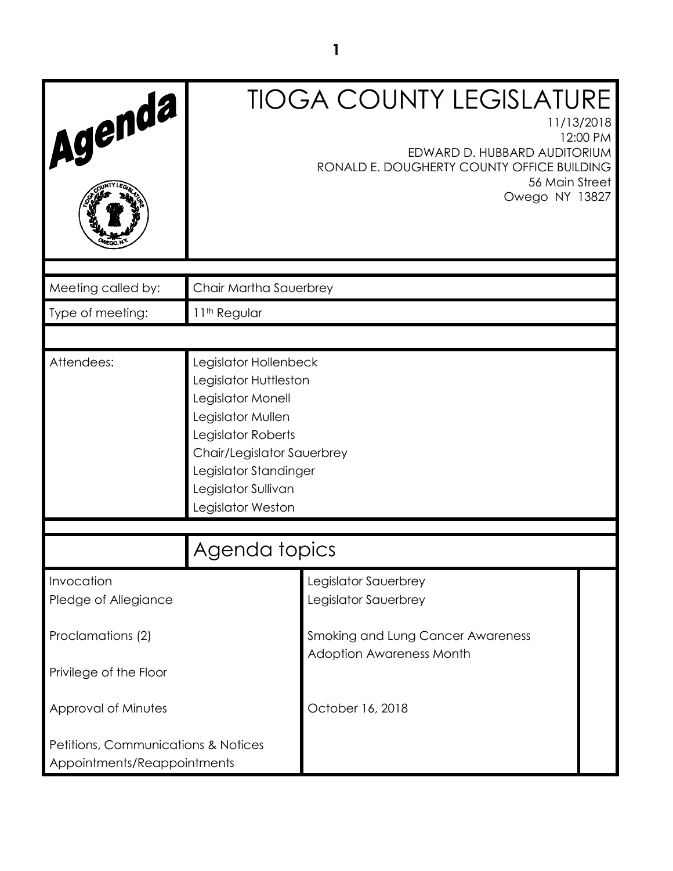| Agenda                                                             |                                                                                                                                                                                                                   | <b>TIOGA COUNTY LEGISLATURE</b><br>11/13/2018<br>12:00 PM<br>EDWARD D. HUBBARD AUDITORIUM<br>RONALD E. DOUGHERTY COUNTY OFFICE BUILDING<br>56 Main Street<br>Owego NY 13827 |  |
|--------------------------------------------------------------------|-------------------------------------------------------------------------------------------------------------------------------------------------------------------------------------------------------------------|-----------------------------------------------------------------------------------------------------------------------------------------------------------------------------|--|
| Meeting called by:                                                 | Chair Martha Sauerbrey                                                                                                                                                                                            |                                                                                                                                                                             |  |
| Type of meeting:                                                   | 11 <sup>th</sup> Regular                                                                                                                                                                                          |                                                                                                                                                                             |  |
|                                                                    |                                                                                                                                                                                                                   |                                                                                                                                                                             |  |
| Attendees:                                                         | Legislator Hollenbeck<br>Legislator Huttleston<br>Legislator Monell<br>Legislator Mullen<br>Legislator Roberts<br>Chair/Legislator Sauerbrey<br>Legislator Standinger<br>Legislator Sullivan<br>Legislator Weston |                                                                                                                                                                             |  |
|                                                                    | Agenda topics                                                                                                                                                                                                     |                                                                                                                                                                             |  |
| Invocation<br>Pledge of Allegiance                                 |                                                                                                                                                                                                                   | Legislator Sauerbrey<br>Legislator Sauerbrey                                                                                                                                |  |
| Proclamations (2)                                                  | Smoking and Lung Cancer Awareness<br><b>Adoption Awareness Month</b>                                                                                                                                              |                                                                                                                                                                             |  |
| Privilege of the Floor                                             |                                                                                                                                                                                                                   |                                                                                                                                                                             |  |
| Approval of Minutes                                                | October 16, 2018                                                                                                                                                                                                  |                                                                                                                                                                             |  |
| Petitions, Communications & Notices<br>Appointments/Reappointments |                                                                                                                                                                                                                   |                                                                                                                                                                             |  |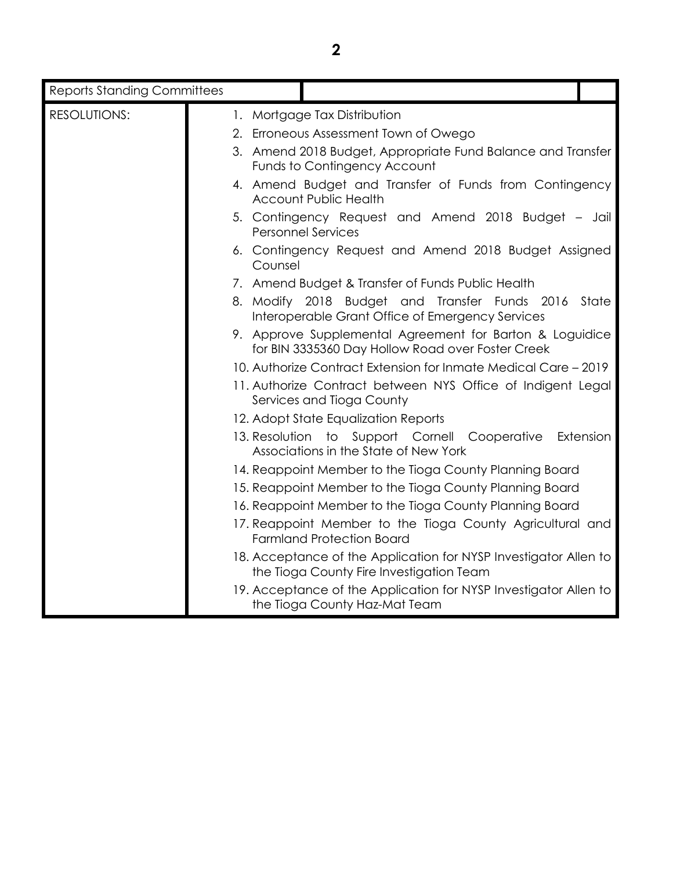| <b>Reports Standing Committees</b> |                                                                                                               |
|------------------------------------|---------------------------------------------------------------------------------------------------------------|
| <b>RESOLUTIONS:</b>                | 1. Mortgage Tax Distribution                                                                                  |
|                                    | 2. Erroneous Assessment Town of Owego                                                                         |
|                                    | 3. Amend 2018 Budget, Appropriate Fund Balance and Transfer<br>Funds to Contingency Account                   |
|                                    | 4. Amend Budget and Transfer of Funds from Contingency<br><b>Account Public Health</b>                        |
|                                    | 5. Contingency Request and Amend 2018 Budget - Jail<br><b>Personnel Services</b>                              |
|                                    | 6. Contingency Request and Amend 2018 Budget Assigned<br>Counsel                                              |
|                                    | 7. Amend Budget & Transfer of Funds Public Health                                                             |
|                                    | 8. Modify 2018 Budget and Transfer Funds 2016<br>State<br>Interoperable Grant Office of Emergency Services    |
|                                    | 9. Approve Supplemental Agreement for Barton & Loguidice<br>for BIN 3335360 Day Hollow Road over Foster Creek |
|                                    | 10. Authorize Contract Extension for Inmate Medical Care – 2019                                               |
|                                    | 11. Authorize Contract between NYS Office of Indigent Legal<br>Services and Tioga County                      |
|                                    | 12. Adopt State Equalization Reports                                                                          |
|                                    | 13. Resolution to Support Cornell Cooperative<br>Extension<br>Associations in the State of New York           |
|                                    | 14. Reappoint Member to the Tioga County Planning Board                                                       |
|                                    | 15. Reappoint Member to the Tioga County Planning Board                                                       |
|                                    | 16. Reappoint Member to the Tioga County Planning Board                                                       |
|                                    | 17. Reappoint Member to the Tioga County Agricultural and<br><b>Farmland Protection Board</b>                 |
|                                    | 18. Acceptance of the Application for NYSP Investigator Allen to<br>the Tioga County Fire Investigation Team  |
|                                    | 19. Acceptance of the Application for NYSP Investigator Allen to<br>the Tioga County Haz-Mat Team             |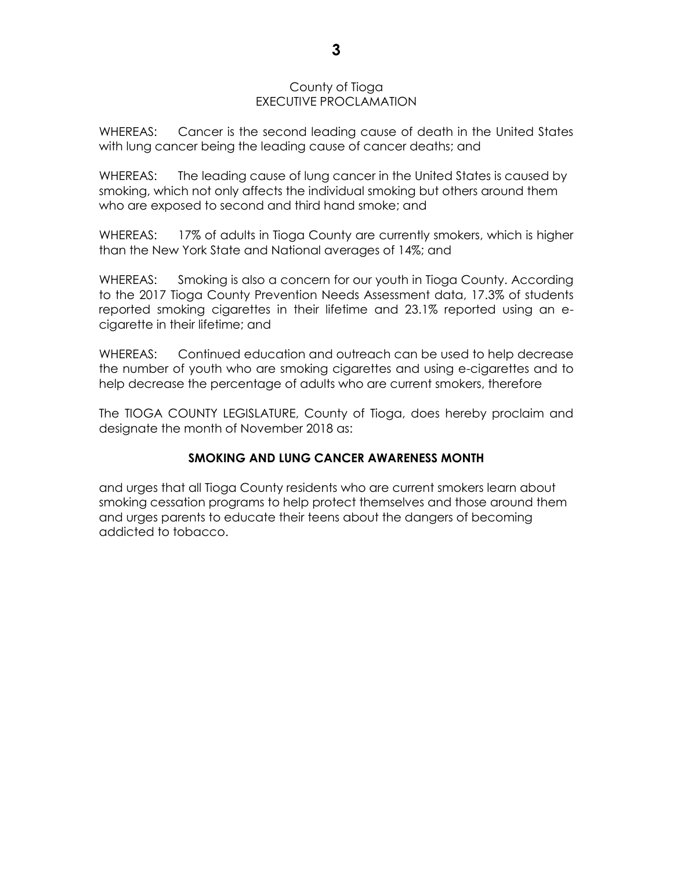#### County of Tioga EXECUTIVE PROCLAMATION

WHEREAS: Cancer is the second leading cause of death in the United States with lung cancer being the leading cause of cancer deaths; and

WHEREAS: The leading cause of lung cancer in the United States is caused by smoking, which not only affects the individual smoking but others around them who are exposed to second and third hand smoke; and

WHEREAS: 17% of adults in Tioga County are currently smokers, which is higher than the New York State and National averages of 14%; and

WHEREAS: Smoking is also a concern for our youth in Tioga County. According to the 2017 Tioga County Prevention Needs Assessment data, 17.3% of students reported smoking cigarettes in their lifetime and 23.1% reported using an ecigarette in their lifetime; and

WHEREAS: Continued education and outreach can be used to help decrease the number of youth who are smoking cigarettes and using e-cigarettes and to help decrease the percentage of adults who are current smokers, therefore

The TIOGA COUNTY LEGISLATURE, County of Tioga, does hereby proclaim and designate the month of November 2018 as:

#### **SMOKING AND LUNG CANCER AWARENESS MONTH**

and urges that all Tioga County residents who are current smokers learn about smoking cessation programs to help protect themselves and those around them and urges parents to educate their teens about the dangers of becoming addicted to tobacco.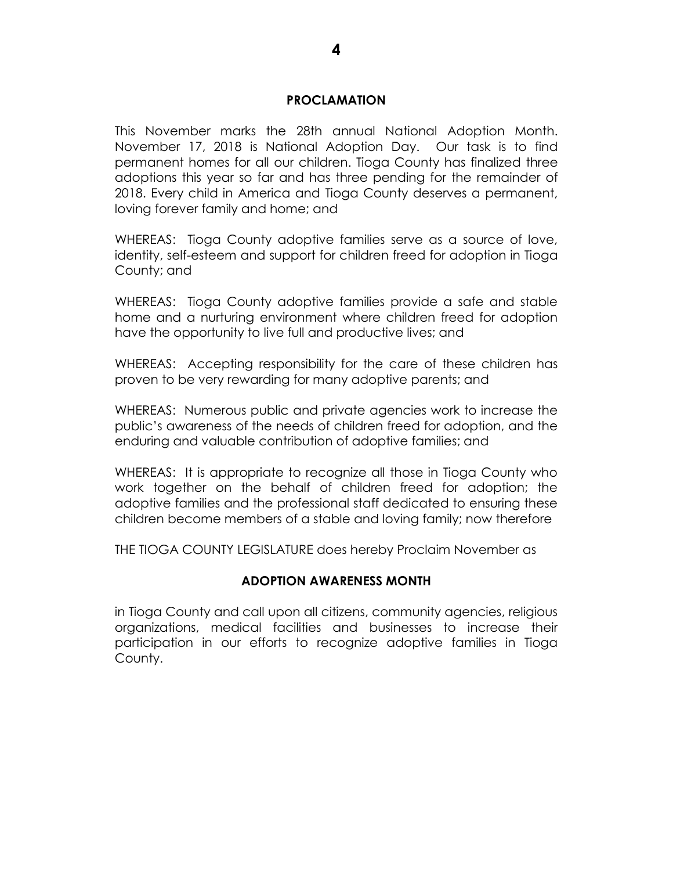#### **PROCLAMATION**

This November marks the 28th annual National Adoption Month. November 17, 2018 is National Adoption Day. Our task is to find permanent homes for all our children. Tioga County has finalized three adoptions this year so far and has three pending for the remainder of 2018. Every child in America and Tioga County deserves a permanent, loving forever family and home; and

WHEREAS: Tioga County adoptive families serve as a source of love, identity, self-esteem and support for children freed for adoption in Tioga County; and

WHEREAS: Tioga County adoptive families provide a safe and stable home and a nurturing environment where children freed for adoption have the opportunity to live full and productive lives; and

WHEREAS: Accepting responsibility for the care of these children has proven to be very rewarding for many adoptive parents; and

WHEREAS: Numerous public and private agencies work to increase the public's awareness of the needs of children freed for adoption, and the enduring and valuable contribution of adoptive families; and

WHEREAS: It is appropriate to recognize all those in Tioga County who work together on the behalf of children freed for adoption; the adoptive families and the professional staff dedicated to ensuring these children become members of a stable and loving family; now therefore

THE TIOGA COUNTY LEGISLATURE does hereby Proclaim November as

#### **ADOPTION AWARENESS MONTH**

in Tioga County and call upon all citizens, community agencies, religious organizations, medical facilities and businesses to increase their participation in our efforts to recognize adoptive families in Tioga County.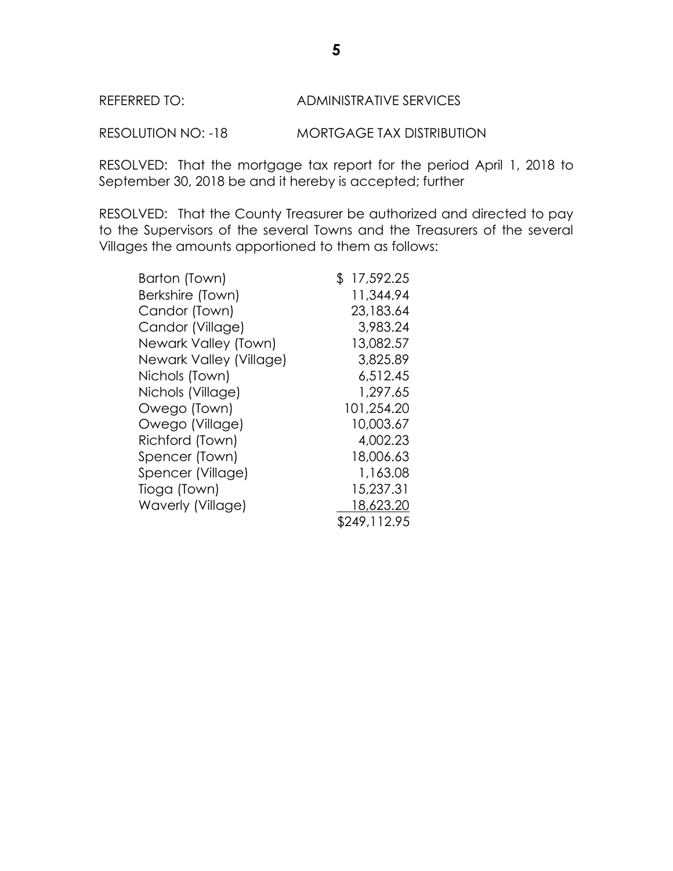#### REFERRED TO: ADMINISTRATIVE SERVICES

RESOLUTION NO: -18 MORTGAGE TAX DISTRIBUTION

RESOLVED: That the mortgage tax report for the period April 1, 2018 to September 30, 2018 be and it hereby is accepted; further

RESOLVED: That the County Treasurer be authorized and directed to pay to the Supervisors of the several Towns and the Treasurers of the several Villages the amounts apportioned to them as follows:

| Barton (Town)           | \$<br>17,592.25 |
|-------------------------|-----------------|
| Berkshire (Town)        | 11,344.94       |
| Candor (Town)           | 23,183.64       |
| Candor (Village)        | 3,983.24        |
| Newark Valley (Town)    | 13,082.57       |
| Newark Valley (Village) | 3,825.89        |
| Nichols (Town)          | 6,512.45        |
| Nichols (Village)       | 1,297.65        |
| Owego (Town)            | 101,254.20      |
| Owego (Village)         | 10,003.67       |
| Richford (Town)         | 4,002.23        |
| Spencer (Town)          | 18,006.63       |
| Spencer (Village)       | 1,163.08        |
| Tioga (Town)            | 15,237.31       |
| Waverly (Village)       | 18,623.20       |
|                         | \$249,112.95    |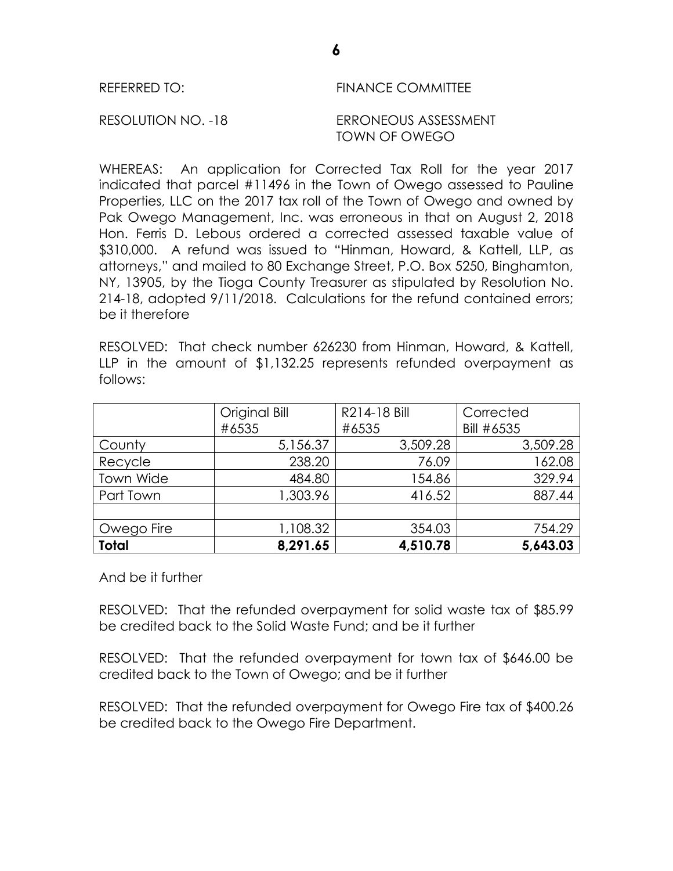# REFERRED TO: FINANCE COMMITTEE

#### RESOLUTION NO. -18 ERRONEOUS ASSESSMENT TOWN OF OWEGO

WHEREAS: An application for Corrected Tax Roll for the year 2017 indicated that parcel #11496 in the Town of Owego assessed to Pauline Properties, LLC on the 2017 tax roll of the Town of Owego and owned by Pak Owego Management, Inc. was erroneous in that on August 2, 2018 Hon. Ferris D. Lebous ordered a corrected assessed taxable value of \$310,000. A refund was issued to "Hinman, Howard, & Kattell, LLP, as attorneys," and mailed to 80 Exchange Street, P.O. Box 5250, Binghamton, NY, 13905, by the Tioga County Treasurer as stipulated by Resolution No. 214-18, adopted 9/11/2018. Calculations for the refund contained errors; be it therefore

RESOLVED: That check number 626230 from Hinman, Howard, & Kattell, LLP in the amount of \$1,132.25 represents refunded overpayment as follows:

|                  | Original Bill | R214-18 Bill | Corrected  |
|------------------|---------------|--------------|------------|
|                  | #6535         | #6535        | Bill #6535 |
| County           | 5,156.37      | 3,509.28     | 3,509.28   |
| Recycle          | 238.20        | 76.09        | 162.08     |
| <b>Town Wide</b> | 484.80        | 154.86       | 329.94     |
| Part Town        | 1,303.96      | 416.52       | 887.44     |
|                  |               |              |            |
| Owego Fire       | 1,108.32      | 354.03       | 754.29     |
| <b>Total</b>     | 8,291.65      | 4,510.78     | 5,643.03   |

And be it further

RESOLVED: That the refunded overpayment for solid waste tax of \$85.99 be credited back to the Solid Waste Fund; and be it further

RESOLVED: That the refunded overpayment for town tax of \$646.00 be credited back to the Town of Owego; and be it further

RESOLVED: That the refunded overpayment for Owego Fire tax of \$400.26 be credited back to the Owego Fire Department.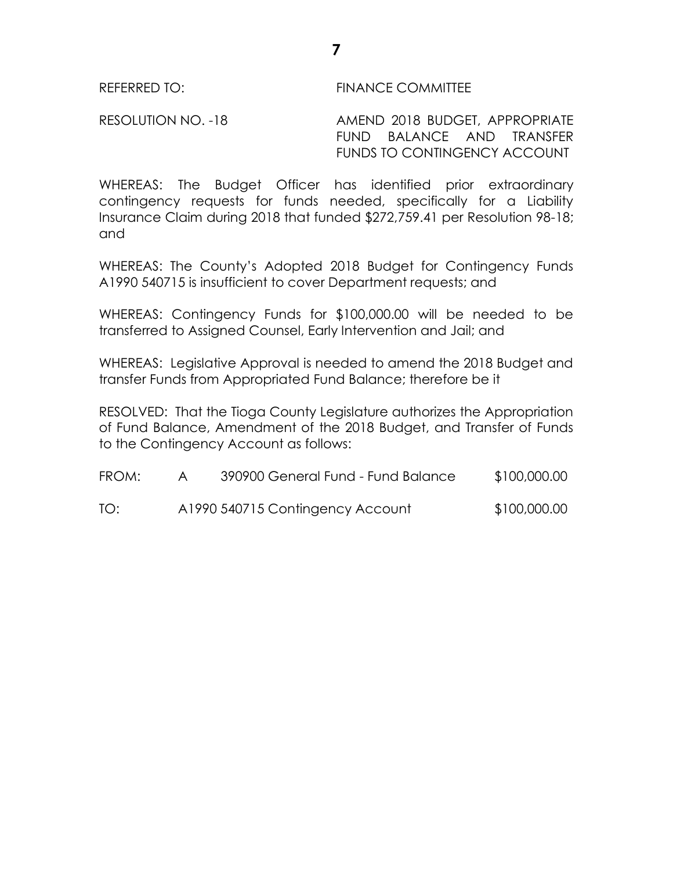# REFERRED TO: FINANCE COMMITTEE

RESOLUTION NO. -18 AMEND 2018 BUDGET, APPROPRIATE FUND BALANCE AND TRANSFER FUNDS TO CONTINGENCY ACCOUNT

WHEREAS: The Budget Officer has identified prior extraordinary contingency requests for funds needed, specifically for a Liability Insurance Claim during 2018 that funded \$272,759.41 per Resolution 98-18; and

WHEREAS: The County's Adopted 2018 Budget for Contingency Funds A1990 540715 is insufficient to cover Department requests; and

WHEREAS: Contingency Funds for \$100,000.00 will be needed to be transferred to Assigned Counsel, Early Intervention and Jail; and

WHEREAS: Legislative Approval is needed to amend the 2018 Budget and transfer Funds from Appropriated Fund Balance; therefore be it

RESOLVED: That the Tioga County Legislature authorizes the Appropriation of Fund Balance, Amendment of the 2018 Budget, and Transfer of Funds to the Contingency Account as follows:

| FROM: | 390900 General Fund - Fund Balance | \$100,000.00 |
|-------|------------------------------------|--------------|
| TO:   | A1990 540715 Contingency Account   | \$100,000.00 |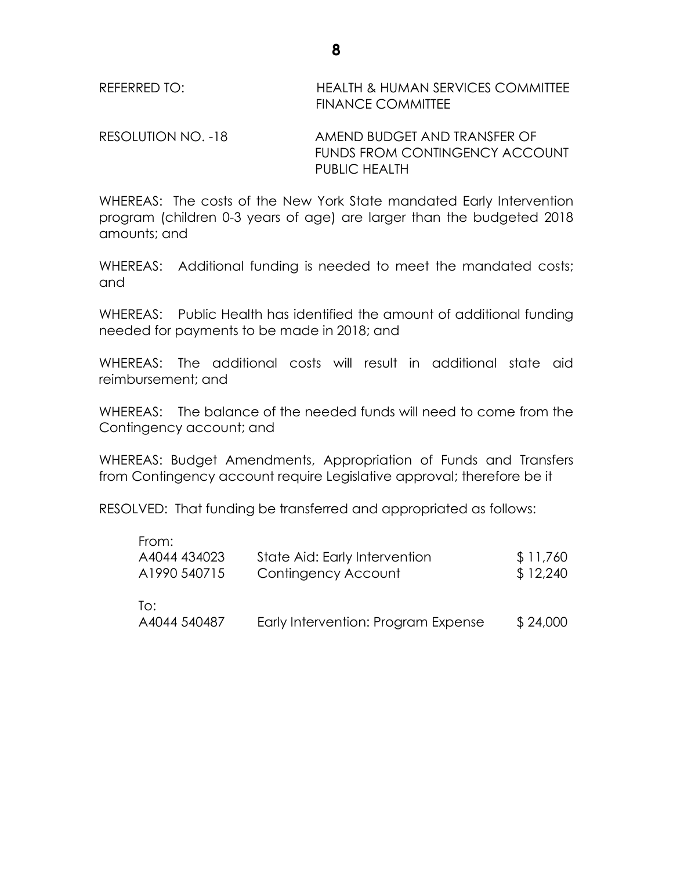| REFERRED TO: | HEALTH & HUMAN SERVICES COMMITTEE |
|--------------|-----------------------------------|
|              | <b>FINANCE COMMITTEE</b>          |

RESOLUTION NO. -18 AMEND BUDGET AND TRANSFER OF FUNDS FROM CONTINGENCY ACCOUNT PUBLIC HEALTH

WHEREAS: The costs of the New York State mandated Early Intervention program (children 0-3 years of age) are larger than the budgeted 2018 amounts; and

WHEREAS: Additional funding is needed to meet the mandated costs; and

WHEREAS: Public Health has identified the amount of additional funding needed for payments to be made in 2018; and

WHEREAS: The additional costs will result in additional state aid reimbursement; and

WHEREAS: The balance of the needed funds will need to come from the Contingency account; and

WHEREAS: Budget Amendments, Appropriation of Funds and Transfers from Contingency account require Legislative approval; therefore be it

RESOLVED: That funding be transferred and appropriated as follows:

| From:        |                                     |          |
|--------------|-------------------------------------|----------|
| A4044 434023 | State Aid: Early Intervention       | \$11,760 |
| A1990 540715 | Contingency Account                 | \$12,240 |
| lo:          |                                     |          |
| A4044 540487 | Early Intervention: Program Expense | \$24,000 |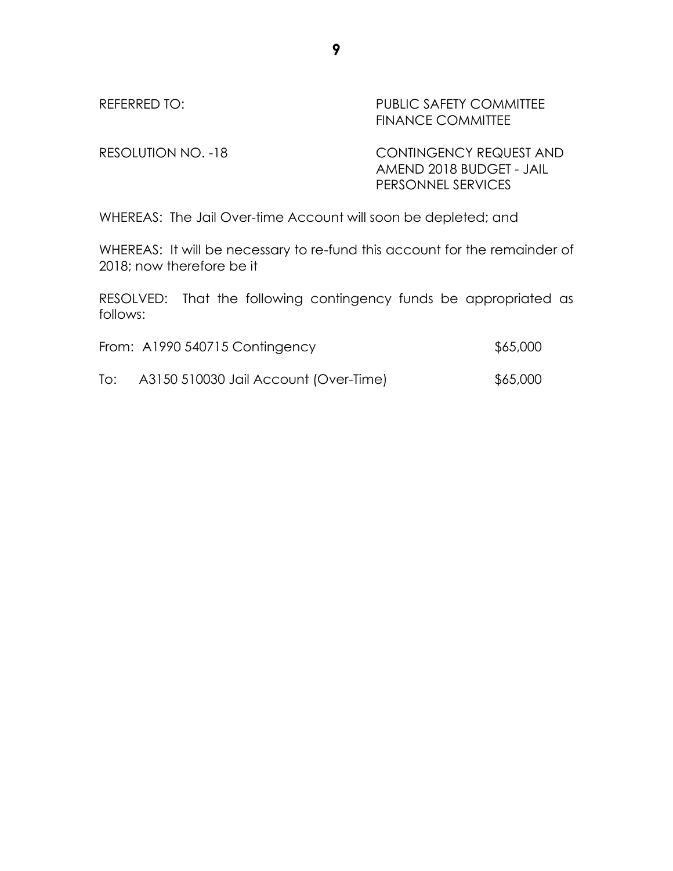# REFERRED TO: PUBLIC SAFETY COMMITTEE FINANCE COMMITTEE

RESOLUTION NO. -18 CONTINGENCY REQUEST AND AMEND 2018 BUDGET - JAIL PERSONNEL SERVICES

WHEREAS: The Jail Over-time Account will soon be depleted; and

WHEREAS: It will be necessary to re-fund this account for the remainder of 2018; now therefore be it

RESOLVED: That the following contingency funds be appropriated as follows:

|     | From: A1990 540715 Contingency        | \$65,000 |
|-----|---------------------------------------|----------|
| To: | A3150 510030 Jail Account (Over-Time) | \$65,000 |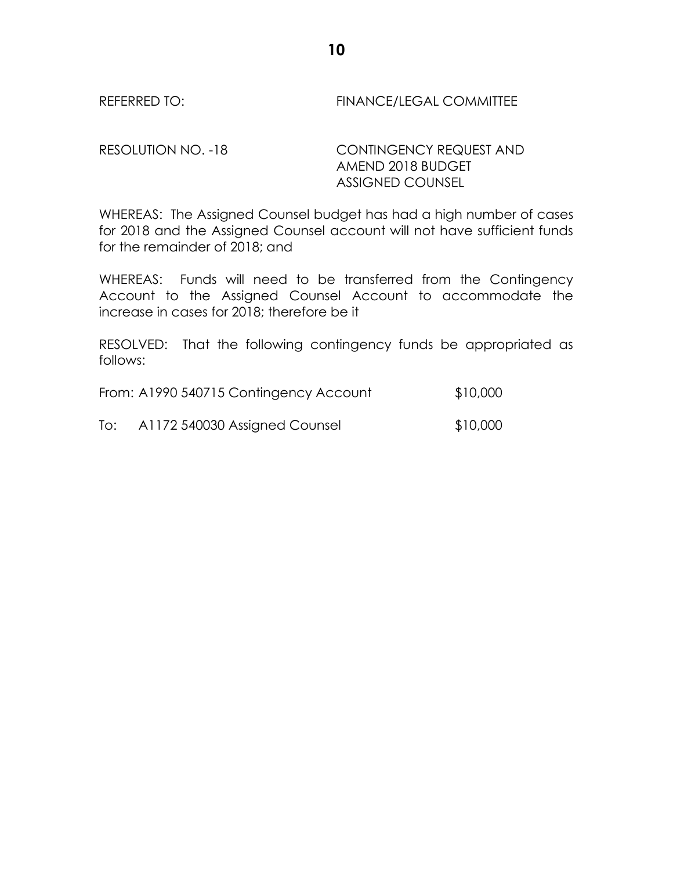REFERRED TO: FINANCE/LEGAL COMMITTEE

RESOLUTION NO. -18 CONTINGENCY REQUEST AND AMEND 2018 BUDGET ASSIGNED COUNSEL

WHEREAS: The Assigned Counsel budget has had a high number of cases for 2018 and the Assigned Counsel account will not have sufficient funds for the remainder of 2018; and

WHEREAS: Funds will need to be transferred from the Contingency Account to the Assigned Counsel Account to accommodate the increase in cases for 2018; therefore be it

RESOLVED: That the following contingency funds be appropriated as follows:

|     | From: A1990 540715 Contingency Account | \$10,000 |
|-----|----------------------------------------|----------|
| To: | A1172 540030 Assigned Counsel          | \$10,000 |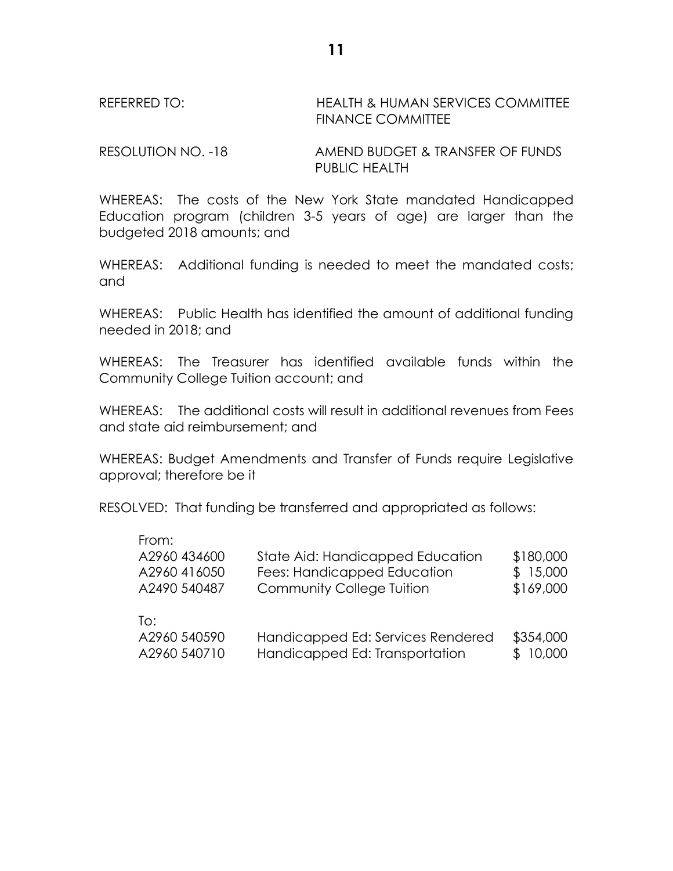# REFERRED TO: HEALTH & HUMAN SERVICES COMMITTEE FINANCE COMMITTEE

RESOLUTION NO. -18 AMEND BUDGET & TRANSFER OF FUNDS PUBLIC HEALTH

WHEREAS: The costs of the New York State mandated Handicapped Education program (children 3-5 years of age) are larger than the budgeted 2018 amounts; and

WHEREAS: Additional funding is needed to meet the mandated costs; and

WHEREAS: Public Health has identified the amount of additional funding needed in 2018; and

WHEREAS: The Treasurer has identified available funds within the Community College Tuition account; and

WHEREAS: The additional costs will result in additional revenues from Fees and state aid reimbursement; and

WHEREAS: Budget Amendments and Transfer of Funds require Legislative approval; therefore be it

RESOLVED: That funding be transferred and appropriated as follows:

| From:                        |                                                                     |                       |
|------------------------------|---------------------------------------------------------------------|-----------------------|
| A2960 434600                 | State Aid: Handicapped Education                                    | \$180,000             |
| A2960 416050                 | Fees: Handicapped Education                                         | \$15,000              |
| A2490 540487                 | <b>Community College Tuition</b>                                    | \$169,000             |
| To:                          |                                                                     |                       |
| A2960 540590<br>A2960 540710 | Handicapped Ed: Services Rendered<br>Handicapped Ed: Transportation | \$354,000<br>\$10,000 |
|                              |                                                                     |                       |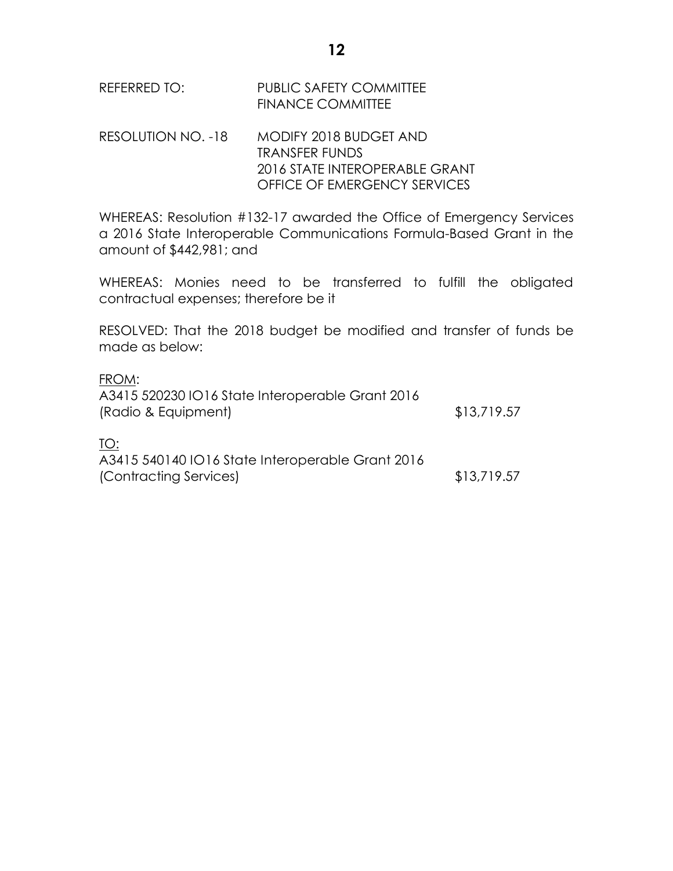| REFERRED TO:       | <b>PUBLIC SAFETY COMMITTEE</b><br><b>FINANCE COMMITTEE</b> |
|--------------------|------------------------------------------------------------|
| RESOLUTION NO. -18 | MODIFY 2018 BUDGET AND<br>TRANSFER FUNDS                   |

WHEREAS: Resolution #132-17 awarded the Office of Emergency Services a 2016 State Interoperable Communications Formula-Based Grant in the amount of \$442,981; and

2016 STATE INTEROPERABLE GRANT OFFICE OF EMERGENCY SERVICES

WHEREAS: Monies need to be transferred to fulfill the obligated contractual expenses; therefore be it

RESOLVED: That the 2018 budget be modified and transfer of funds be made as below:

FROM: A3415 520230 IO16 State Interoperable Grant 2016 (Radio & Equipment)  $$13,719.57$ TO: A3415 540140 IO16 State Interoperable Grant 2016 (Contracting Services) \$13,719.57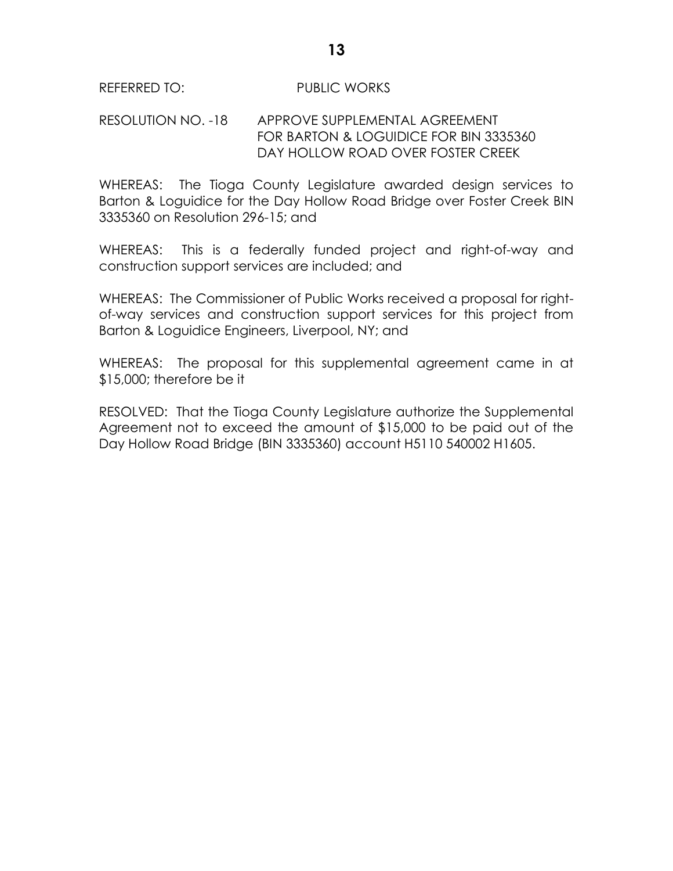#### REFERRED TO: PUBLIC WORKS

# RESOLUTION NO. -18 APPROVE SUPPLEMENTAL AGREEMENT FOR BARTON & LOGUIDICE FOR BIN 3335360 DAY HOLLOW ROAD OVER FOSTER CREEK

WHEREAS: The Tioga County Legislature awarded design services to Barton & Loguidice for the Day Hollow Road Bridge over Foster Creek BIN 3335360 on Resolution 296-15; and

WHEREAS: This is a federally funded project and right-of-way and construction support services are included; and

WHEREAS: The Commissioner of Public Works received a proposal for rightof-way services and construction support services for this project from Barton & Loguidice Engineers, Liverpool, NY; and

WHEREAS: The proposal for this supplemental agreement came in at \$15,000; therefore be it

RESOLVED: That the Tioga County Legislature authorize the Supplemental Agreement not to exceed the amount of \$15,000 to be paid out of the Day Hollow Road Bridge (BIN 3335360) account H5110 540002 H1605.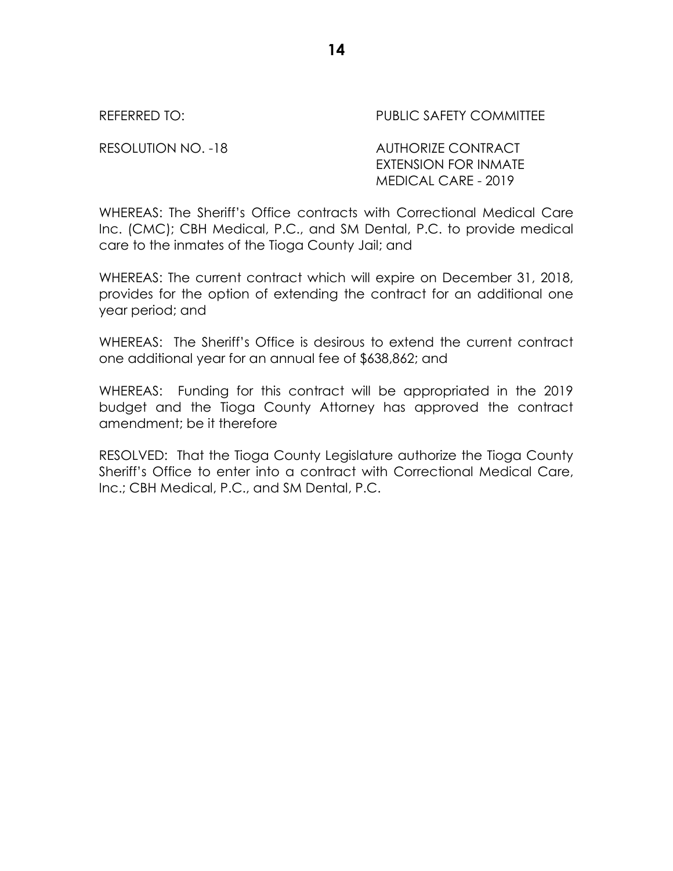REFERRED TO: The South of the PUBLIC SAFETY COMMITTEE

RESOLUTION NO. -18 AUTHORIZE CONTRACT EXTENSION FOR INMATE MEDICAL CARE - 2019

WHEREAS: The Sheriff's Office contracts with Correctional Medical Care Inc. (CMC); CBH Medical, P.C., and SM Dental, P.C. to provide medical care to the inmates of the Tioga County Jail; and

WHEREAS: The current contract which will expire on December 31, 2018, provides for the option of extending the contract for an additional one year period; and

WHEREAS: The Sheriff's Office is desirous to extend the current contract one additional year for an annual fee of \$638,862; and

WHEREAS: Funding for this contract will be appropriated in the 2019 budget and the Tioga County Attorney has approved the contract amendment; be it therefore

RESOLVED: That the Tioga County Legislature authorize the Tioga County Sheriff's Office to enter into a contract with Correctional Medical Care, Inc.; CBH Medical, P.C., and SM Dental, P.C.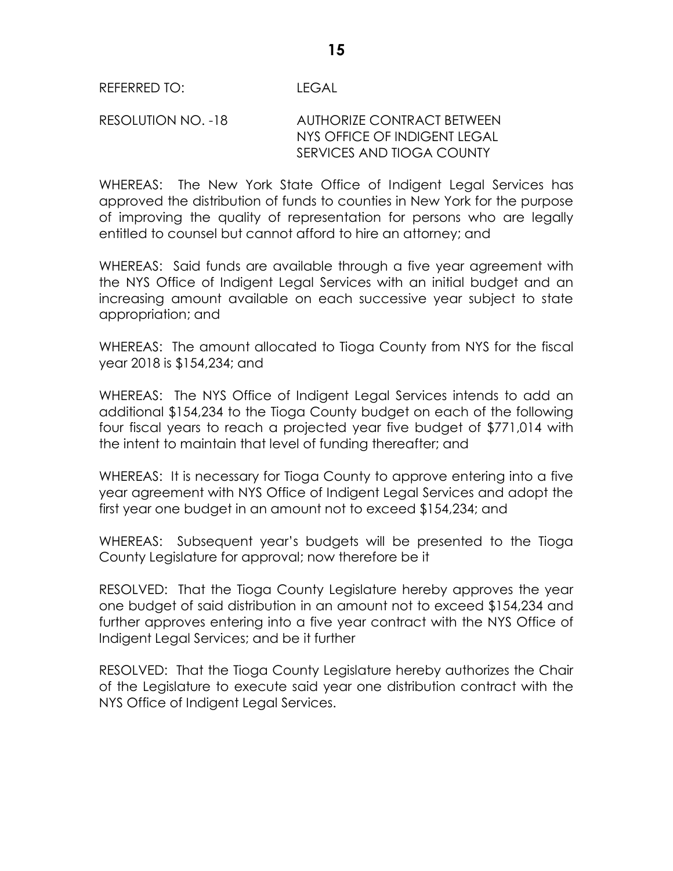#### RESOLUTION NO. -18 AUTHORIZE CONTRACT BETWEEN NYS OFFICE OF INDIGENT LEGAL SERVICES AND TIOGA COUNTY

WHEREAS: The New York State Office of Indigent Legal Services has approved the distribution of funds to counties in New York for the purpose of improving the quality of representation for persons who are legally entitled to counsel but cannot afford to hire an attorney; and

WHEREAS: Said funds are available through a five year agreement with the NYS Office of Indigent Legal Services with an initial budget and an increasing amount available on each successive year subject to state appropriation; and

WHEREAS: The amount allocated to Tioga County from NYS for the fiscal year 2018 is \$154,234; and

WHEREAS: The NYS Office of Indigent Legal Services intends to add an additional \$154,234 to the Tioga County budget on each of the following four fiscal years to reach a projected year five budget of \$771,014 with the intent to maintain that level of funding thereafter; and

WHEREAS: It is necessary for Tioga County to approve entering into a five year agreement with NYS Office of Indigent Legal Services and adopt the first year one budget in an amount not to exceed \$154,234; and

WHEREAS: Subsequent year's budgets will be presented to the Tioga County Legislature for approval; now therefore be it

RESOLVED: That the Tioga County Legislature hereby approves the year one budget of said distribution in an amount not to exceed \$154,234 and further approves entering into a five year contract with the NYS Office of Indigent Legal Services; and be it further

RESOLVED: That the Tioga County Legislature hereby authorizes the Chair of the Legislature to execute said year one distribution contract with the NYS Office of Indigent Legal Services.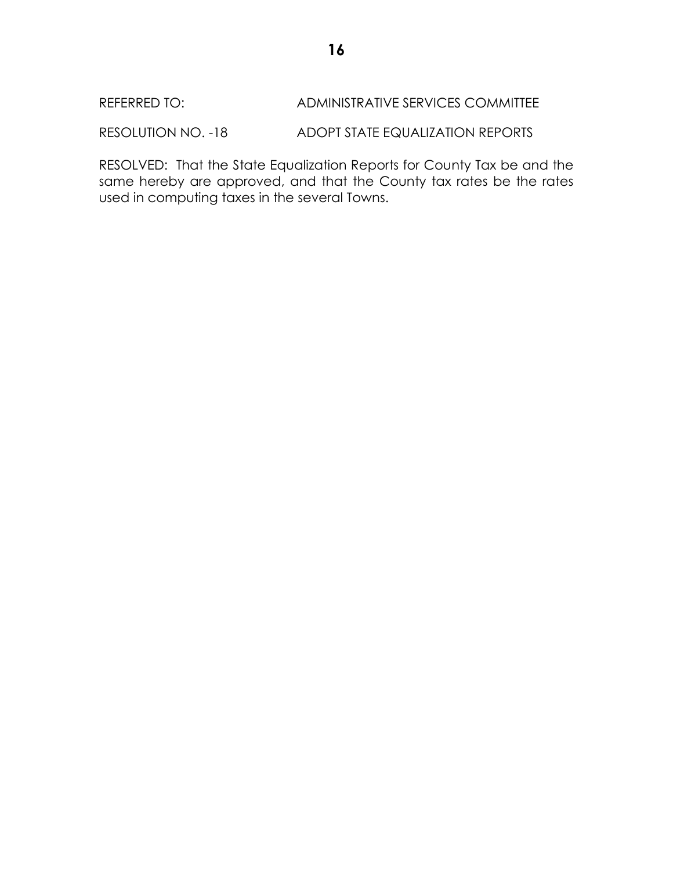REFERRED TO: ADMINISTRATIVE SERVICES COMMITTEE

RESOLUTION NO. -18 ADOPT STATE EQUALIZATION REPORTS

RESOLVED: That the State Equalization Reports for County Tax be and the same hereby are approved, and that the County tax rates be the rates used in computing taxes in the several Towns.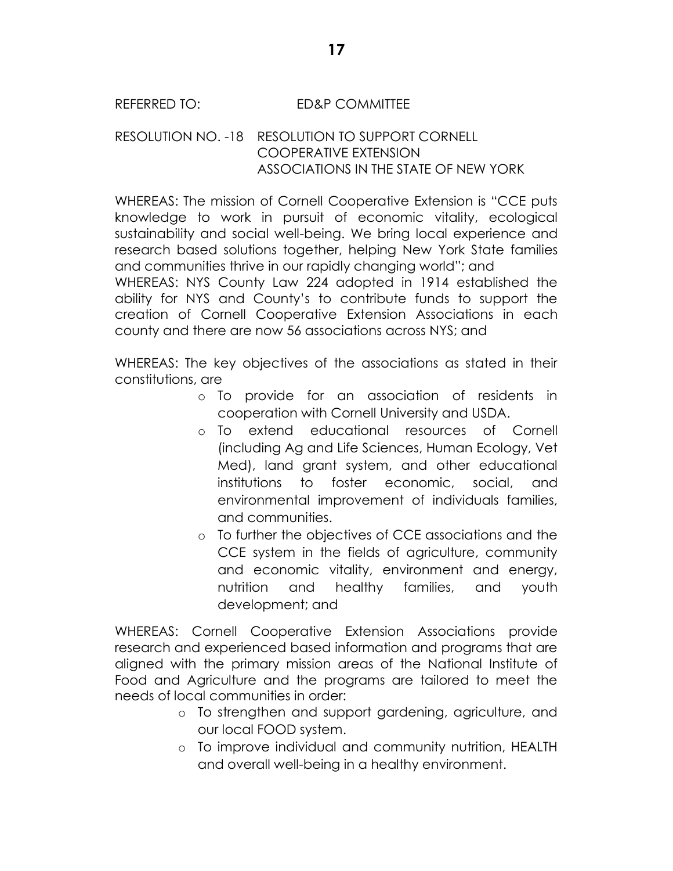# RESOLUTION NO. -18 RESOLUTION TO SUPPORT CORNELL COOPERATIVE EXTENSION ASSOCIATIONS IN THE STATE OF NEW YORK

WHEREAS: The mission of Cornell Cooperative Extension is "CCE puts knowledge to work in pursuit of economic vitality, ecological sustainability and social well-being. We bring local experience and research based solutions together, helping New York State families and communities thrive in our rapidly changing world"; and WHEREAS: NYS County Law 224 adopted in 1914 established the ability for NYS and County's to contribute funds to support the creation of Cornell Cooperative Extension Associations in each county and there are now 56 associations across NYS; and

WHEREAS: The key objectives of the associations as stated in their constitutions, are

- o To provide for an association of residents in cooperation with Cornell University and USDA.
- o To extend educational resources of Cornell (including Ag and Life Sciences, Human Ecology, Vet Med), land grant system, and other educational institutions to foster economic, social, and environmental improvement of individuals families, and communities.
- o To further the objectives of CCE associations and the CCE system in the fields of agriculture, community and economic vitality, environment and energy, nutrition and healthy families, and youth development; and

WHEREAS: Cornell Cooperative Extension Associations provide research and experienced based information and programs that are aligned with the primary mission areas of the National Institute of Food and Agriculture and the programs are tailored to meet the needs of local communities in order:

- o To strengthen and support gardening, agriculture, and our local FOOD system.
- o To improve individual and community nutrition, HEALTH and overall well-being in a healthy environment.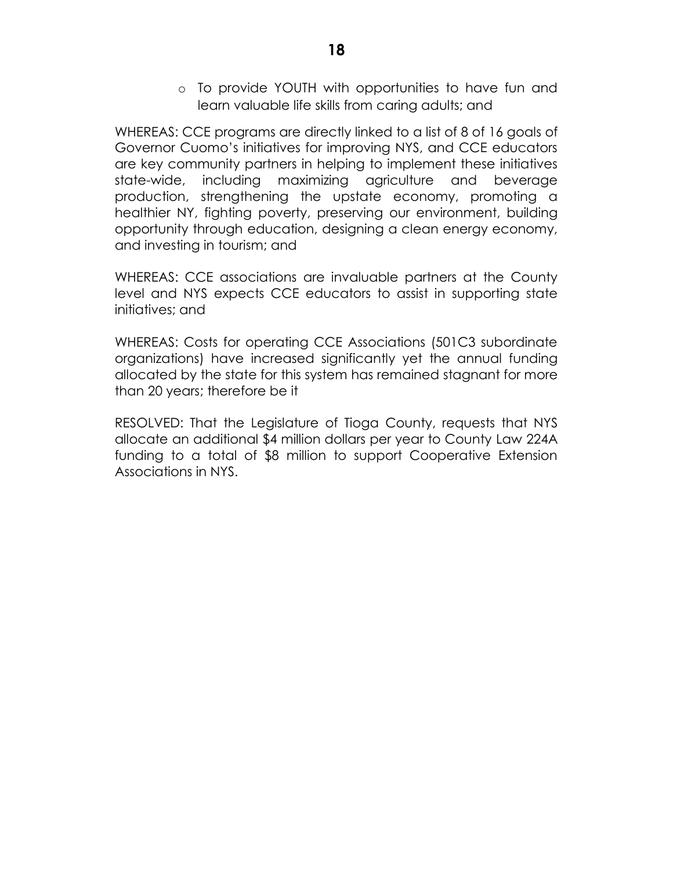o To provide YOUTH with opportunities to have fun and learn valuable life skills from caring adults; and

WHEREAS: CCE programs are directly linked to a list of 8 of 16 goals of Governor Cuomo's initiatives for improving NYS, and CCE educators are key community partners in helping to implement these initiatives state-wide, including maximizing agriculture and beverage production, strengthening the upstate economy, promoting a healthier NY, fighting poverty, preserving our environment, building opportunity through education, designing a clean energy economy, and investing in tourism; and

WHEREAS: CCE associations are invaluable partners at the County level and NYS expects CCE educators to assist in supporting state initiatives; and

WHEREAS: Costs for operating CCE Associations (501C3 subordinate organizations) have increased significantly yet the annual funding allocated by the state for this system has remained stagnant for more than 20 years; therefore be it

RESOLVED: That the Legislature of Tioga County, requests that NYS allocate an additional \$4 million dollars per year to County Law 224A funding to a total of \$8 million to support Cooperative Extension Associations in NYS.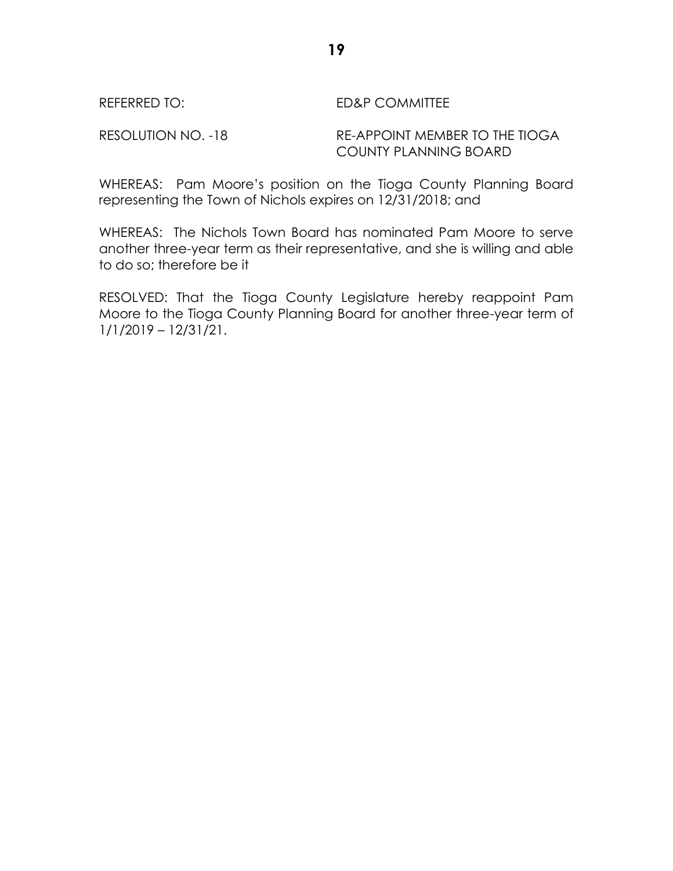RESOLUTION NO. -18 RE-APPOINT MEMBER TO THE TIOGA COUNTY PLANNING BOARD

WHEREAS: Pam Moore's position on the Tioga County Planning Board representing the Town of Nichols expires on 12/31/2018; and

WHEREAS: The Nichols Town Board has nominated Pam Moore to serve another three-year term as their representative, and she is willing and able to do so; therefore be it

RESOLVED: That the Tioga County Legislature hereby reappoint Pam Moore to the Tioga County Planning Board for another three-year term of 1/1/2019 – 12/31/21.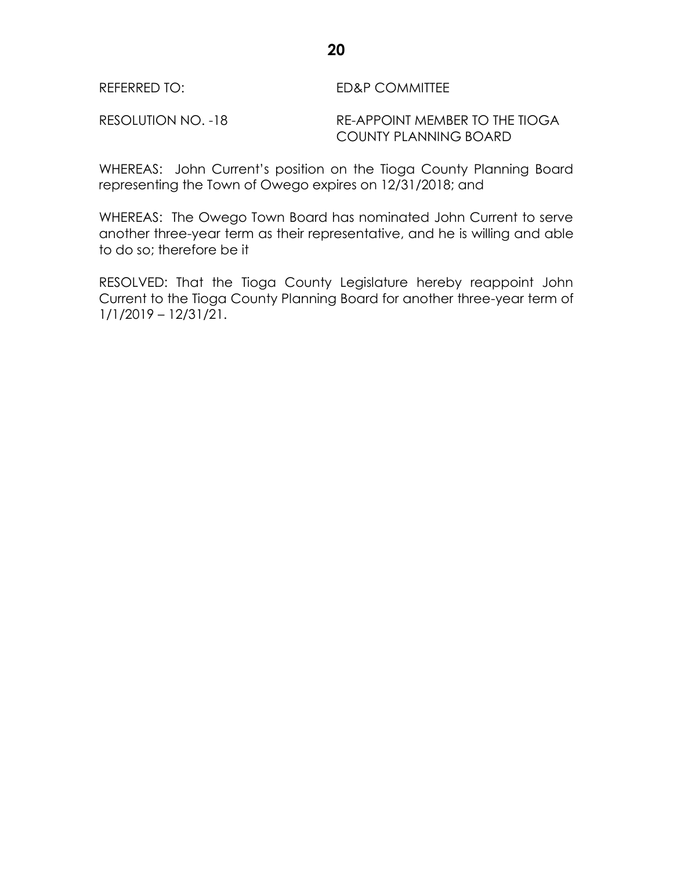RESOLUTION NO. -18 RE-APPOINT MEMBER TO THE TIOGA COUNTY PLANNING BOARD

WHEREAS: John Current's position on the Tioga County Planning Board representing the Town of Owego expires on 12/31/2018; and

WHEREAS: The Owego Town Board has nominated John Current to serve another three-year term as their representative, and he is willing and able to do so; therefore be it

RESOLVED: That the Tioga County Legislature hereby reappoint John Current to the Tioga County Planning Board for another three-year term of 1/1/2019 – 12/31/21.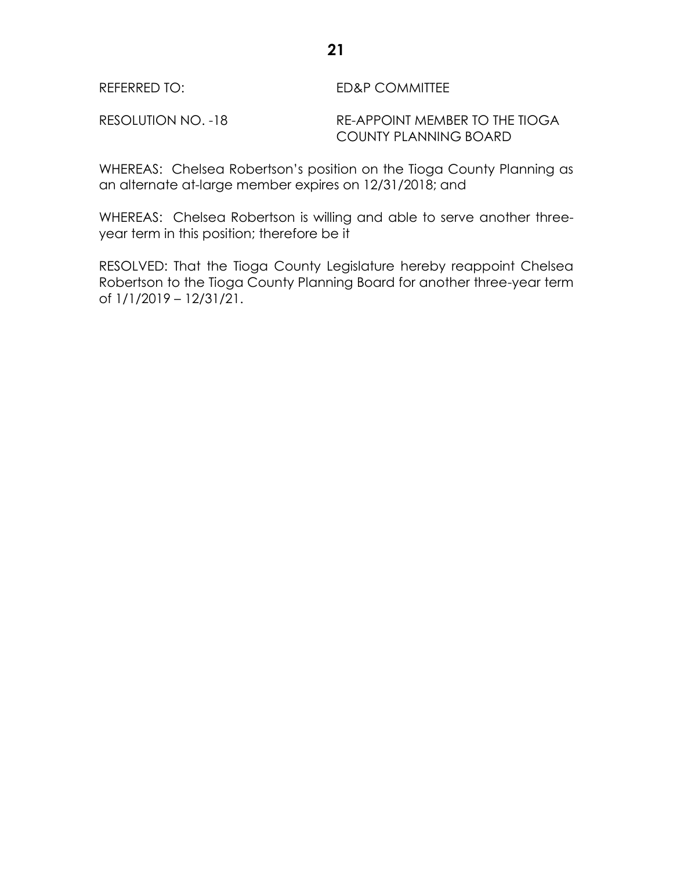RESOLUTION NO. -18 RE-APPOINT MEMBER TO THE TIOGA COUNTY PLANNING BOARD

WHEREAS: Chelsea Robertson's position on the Tioga County Planning as an alternate at-large member expires on 12/31/2018; and

WHEREAS: Chelsea Robertson is willing and able to serve another threeyear term in this position; therefore be it

RESOLVED: That the Tioga County Legislature hereby reappoint Chelsea Robertson to the Tioga County Planning Board for another three-year term of 1/1/2019 – 12/31/21.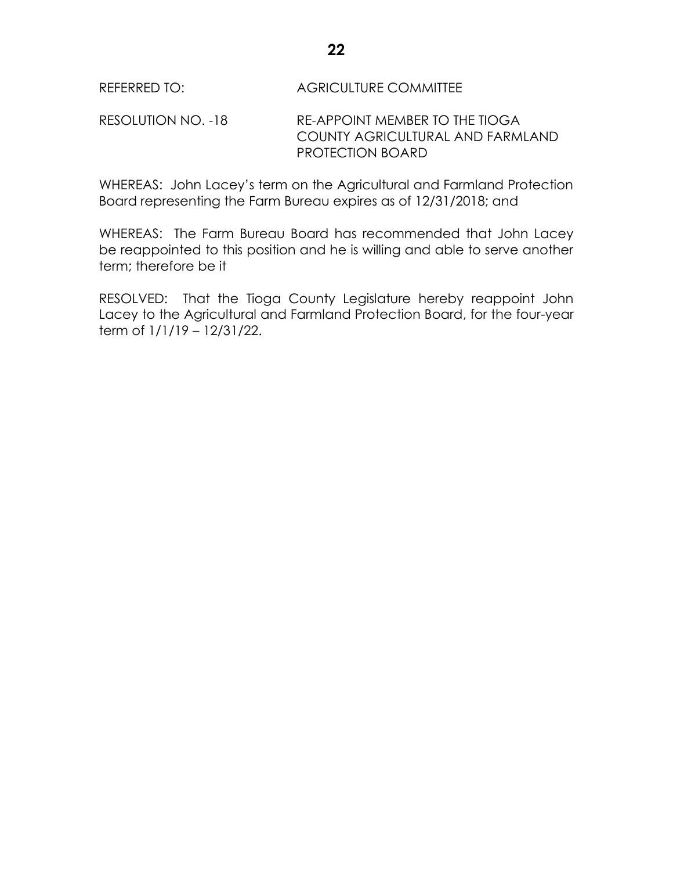RESOLUTION NO. -18 RE-APPOINT MEMBER TO THE TIOGA COUNTY AGRICULTURAL AND FARMLAND PROTECTION BOARD

WHEREAS: John Lacey's term on the Agricultural and Farmland Protection Board representing the Farm Bureau expires as of 12/31/2018; and

WHEREAS: The Farm Bureau Board has recommended that John Lacey be reappointed to this position and he is willing and able to serve another term; therefore be it

RESOLVED: That the Tioga County Legislature hereby reappoint John Lacey to the Agricultural and Farmland Protection Board, for the four-year term of 1/1/19 – 12/31/22.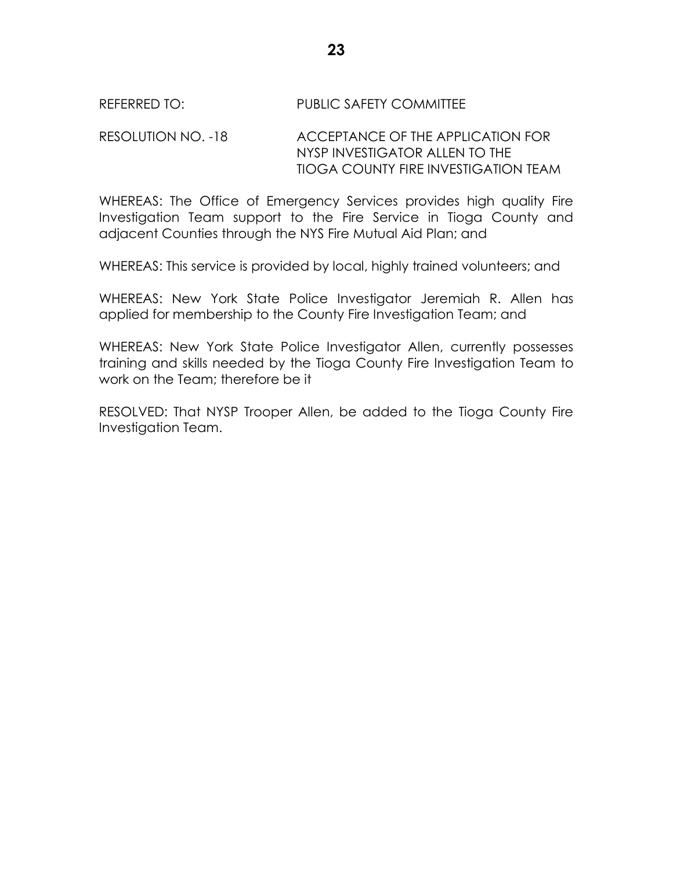# REFERRED TO: PUBLIC SAFETY COMMITTEE

RESOLUTION NO. -18 ACCEPTANCE OF THE APPLICATION FOR NYSP INVESTIGATOR ALLEN TO THE TIOGA COUNTY FIRE INVESTIGATION TEAM

WHEREAS: The Office of Emergency Services provides high quality Fire Investigation Team support to the Fire Service in Tioga County and adjacent Counties through the NYS Fire Mutual Aid Plan; and

WHEREAS: This service is provided by local, highly trained volunteers; and

WHEREAS: New York State Police Investigator Jeremiah R. Allen has applied for membership to the County Fire Investigation Team; and

WHEREAS: New York State Police Investigator Allen, currently possesses training and skills needed by the Tioga County Fire Investigation Team to work on the Team; therefore be it

RESOLVED: That NYSP Trooper Allen, be added to the Tioga County Fire Investigation Team.